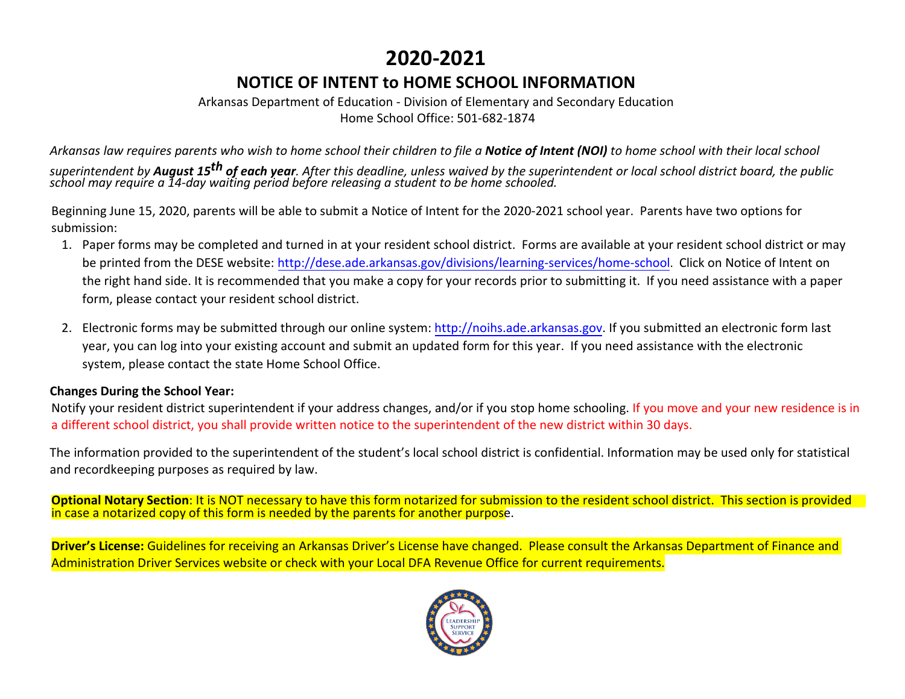# **2020-2021**

## **NOTICE OF INTENT to HOME SCHOOL INFORMATION**

#### Arkansas Department of Education - Division of Elementary and Secondary Education Home School Office: 501-682-1874

*Arkansas law requires parents who wish to home school their children to file a Notice of Intent (NOI) to home school with their local school superintendent by August 15th of each year. After this deadline, unless waived by the superintendent or local school district board, the public school may require a 14-day waiting period before releasing a student to be home schooled.* 

Beginning June 15, 2020, parents will be able to submit a Notice of Intent for the 2020-2021 school year. Parents have two options for submission:

- 1. Paper forms may be completed and turned in at your resident school district. Forms are available at your resident school district or may be printed from the DESE website: [http://dese.ade.arkansas.gov/divisions/learning-services/home-](http://dese.ade.arkansas.gov/divisions/learning-services/home-school)school. Click on Notice of Intent on the right hand side. It is recommended that you make a copy for your records prior to submitting it. If you need assistance with a paper form, please contact your resident school district.
- 2. Electronic forms may be submitted through our online system: [http://noihs.ade.arkansas.gov. I](http://noihs.ade.arkansas.gov/)f you submitted an electronic form last year, you can log into your existing account and submit an updated form for this year. If you need assistance with the electronic system, please contact the state Home School Office.

#### **Changes During the School Year:**

Notify your resident district superintendent if your address changes, and/or if you stop home schooling. If you move and your new residence is in a different school district, you shall provide written notice to the superintendent of the new district within 30 days.

The information provided to the superintendent of the student's local school district is confidential. Information may be used only for statistical and recordkeeping purposes as required by law.

**Optional Notary Section**: It is NOT necessary to have this form notarized for submission to the resident school district. This section is provided in case a notarized copy of this form is needed by the parents for another purpose.

**Driver's License:** Guidelines for receiving an Arkansas Driver's License have changed. Please consult the Arkansas Department of Finance and Administration Driver Services website or check with your Local DFA Revenue Office for current requirements.